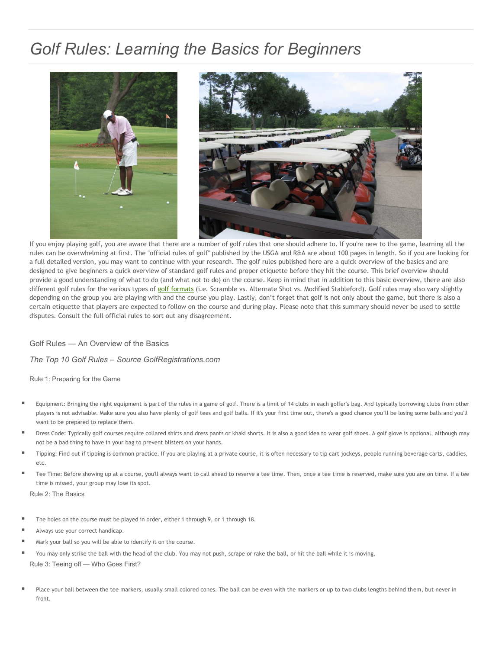## *Golf Rules: Learning the Basics for Beginners*



If you enjoy playing golf, you are aware that there are a number of golf rules that one should adhere to. If you're new to the game, learning all the rules can be overwhelming at first. The "official rules of golf" published by the USGA and R&A are about 100 pages in length. So if you are looking for a full detailed version, you may want to continue with your research. The golf rules published here are a quick overview of the basics and are designed to give beginners a quick overview of standard golf rules and proper etiquette before they hit the course. This brief overview should provide a good understanding of what to do (and what not to do) on the course. Keep in mind that in addition to this basic overview, there are also different golf rules for the various types of [golf formats](http://www.golfregistrations.com/s/Golf-Tournament-Formats/index.cfm) (i.e. Scramble vs. Alternate Shot vs. Modified Stableford). Golf rules may also vary slightly depending on the group you are playing with and the course you play. Lastly, don't forget that golf is not only about the game, but there is also a certain etiquette that players are expected to follow on the course and during play. Please note that this summary should never be used to settle disputes. Consult the full official rules to sort out any disagreement.

Golf Rules — An Overview of the Basics

*The Top 10 Golf Rules – Source GolfRegistrations.com*

Rule 1: Preparing for the Game

- Equipment: Bringing the right equipment is part of the rules in a game of golf. There is a limit of 14 clubs in each golfer's bag. And typically borrowing clubs from other players is not advisable. Make sure you also have plenty of golf tees and golf balls. If it's your first time out, there's a good chance you'll be losing some balls and you'll want to be prepared to replace them.
- Dress Code: Typically golf courses require collared shirts and dress pants or khaki shorts. It is also a good idea to wear golf shoes. A golf glove is optional, although may not be a bad thing to have in your bag to prevent blisters on your hands.
- Tipping: Find out if tipping is common practice. If you are playing at a private course, it is often necessary to tip cart jockeys, people running beverage carts, caddies, etc.
- Tee Time: Before showing up at a course, you'll always want to call ahead to reserve a tee time. Then, once a tee time is reserved, make sure you are on time. If a tee time is missed, your group may lose its spot.

Rule 2: The Basics

- The holes on the course must be played in order, either 1 through 9, or 1 through 18.
- Always use your correct handicap.
- Mark your ball so you will be able to identify it on the course.
- You may only strike the ball with the head of the club. You may not push, scrape or rake the ball, or hit the ball while it is moving. Rule 3: Teeing off — Who Goes First?
- Place your ball between the tee markers, usually small colored cones. The ball can be even with the markers or up to two clubs lengths behind them, but never in front.